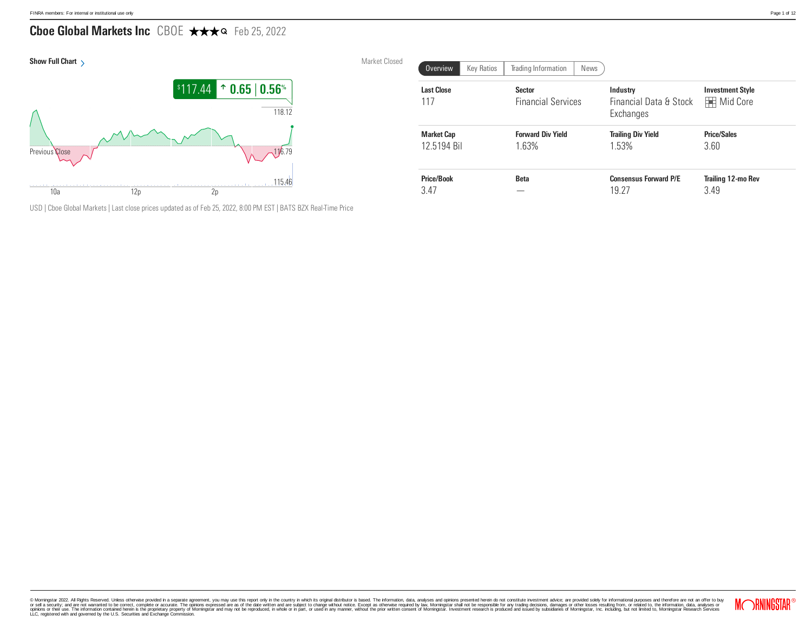# Cboe Global Markets Inc CBOE ★★★Q Feb 25, 2022



USD | Cboe Global Markets | Last close prices updated as of Feb 25, 2022, 8:00 PM EST | BATS BZX Real-Time Price

|                          | Market Closed | <b>Key Ratios</b><br>Overview    | Trading Information<br>News                |                                                 |                                              |
|--------------------------|---------------|----------------------------------|--------------------------------------------|-------------------------------------------------|----------------------------------------------|
| $\%$<br>$\frac{1}{3.12}$ |               | <b>Last Close</b><br>117         | <b>Sector</b><br><b>Financial Services</b> | Industry<br>Financial Data & Stock<br>Exchanges | <b>Investment Style</b><br><b>H</b> Mid Core |
| $\frac{2}{3.79}$         |               | <b>Market Cap</b><br>12.5194 Bil | <b>Forward Div Yield</b><br>1.63%          | <b>Trailing Div Yield</b><br>1.53%              | <b>Price/Sales</b><br>3.60                   |
| 5.46                     |               | <b>Price/Book</b><br>3.47        | <b>Beta</b><br>–                           | <b>Consensus Forward P/E</b><br>19.27           | <b>Trailing 12-mo Rev</b><br>3.49            |

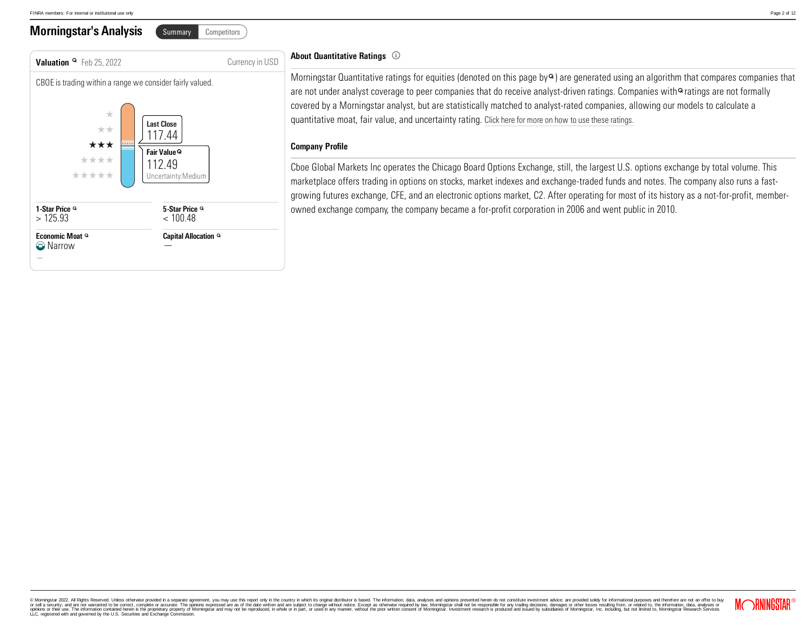### **Morningstar's Analysis** Summary Competitors



### About Quantitative Ratings

Morningstar Quantitative ratings for equities (denoted on this page by  $\circ$ ) are generated using an algorithm that compares companies that are not under analyst coverage to peer companies that do receive analyst-driven ratings. Companies with <sup>o</sup> ratings are not formally covered by a Morningstar analyst, but are statistically matched to analyst-rated companies, allowing our models to calculate a quantitative moat, fair value, and uncertainty rating. Click here [formore](https://shareholders-morningstar-com.library.access.arlingtonva.us/investor-relations/governance/Compliance--Disclosure/default.aspx) on how to use these ratings.

#### Company Profile

Cboe Global Markets Inc operates the Chicago Board Options Exchange, still, the largest U.S. options exchange by total volume. This marketplace offers trading in options on stocks, market indexes and exchange-traded funds and notes. The company also runs a fastgrowing futures exchange, CFE, and an electronic options market, C2. After operating for most of its history as a not-for-profit, memberowned exchange company, the company became a for-profit corporation in 2006 and went public in 2010.

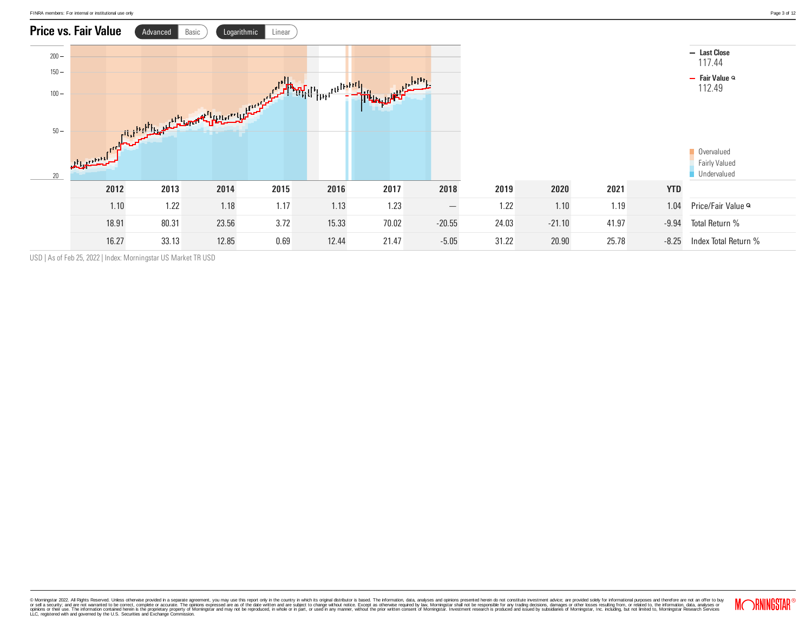

USD | As of Feb 25, 2022 | Index: Morningstar US Market TR USD

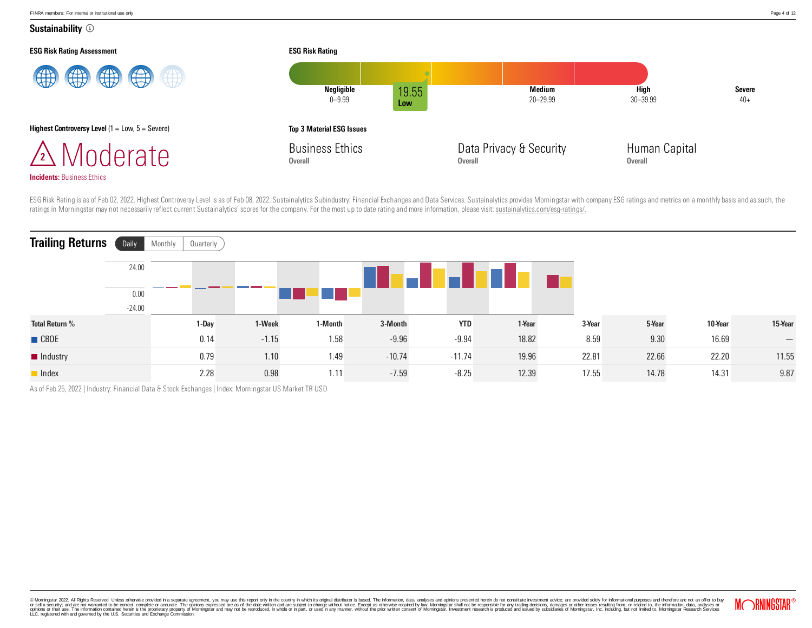Sustainability <sup>1</sup>



ESG Risk Rating is as of Feb 02, 2022. Highest Controversy Level is as of Feb 08, 2022. Sustainalytics Subindustry: Financial Exchanges and Data Services. Sustainalytics provides Morningstar with company ESG ratings and me ratings in Morningstar may not necessarily reflect current Sustainalytics' scores for the company. For the most up to date rating and more information, please visit: [sustainalytics.com/esg-ratings/](https://www.sustainalytics.com/esg-ratings/).

| <b>Trailing Returns</b> | Daily    | Quarterly<br>Monthly |         |         |          |            |        |        |        |         |                   |
|-------------------------|----------|----------------------|---------|---------|----------|------------|--------|--------|--------|---------|-------------------|
|                         | 24.00    |                      |         |         |          |            |        |        |        |         |                   |
|                         | 0.00     |                      |         |         |          |            |        |        |        |         |                   |
|                         | $-24.00$ |                      |         |         |          |            |        |        |        |         |                   |
| <b>Total Return %</b>   |          | 1-Day                | 1-Week  | 1-Month | 3-Month  | <b>YTD</b> | 1-Year | 3-Year | 5-Year | 10-Year | 15-Year           |
| <b>CBOE</b>             |          | 0.14                 | $-1.15$ | 1.58    | $-9.96$  | $-9.94$    | 18.82  | 8.59   | 9.30   | 16.69   | $\hspace{0.05cm}$ |
| Industry                |          | 0.79                 | 1.10    | 1.49    | $-10.74$ | $-11.74$   | 19.96  | 22.81  | 22.66  | 22.20   | 11.55             |
| lndex                   |          | 2.28                 | 0.98    | 1.11    | $-7.59$  | $-8.25$    | 12.39  | 17.55  | 14.78  | 14.31   | 9.87              |

As of Feb 25, 2022 | Industry: Financial Data & Stock Exchanges | Index: Morningstar US Market TR USD

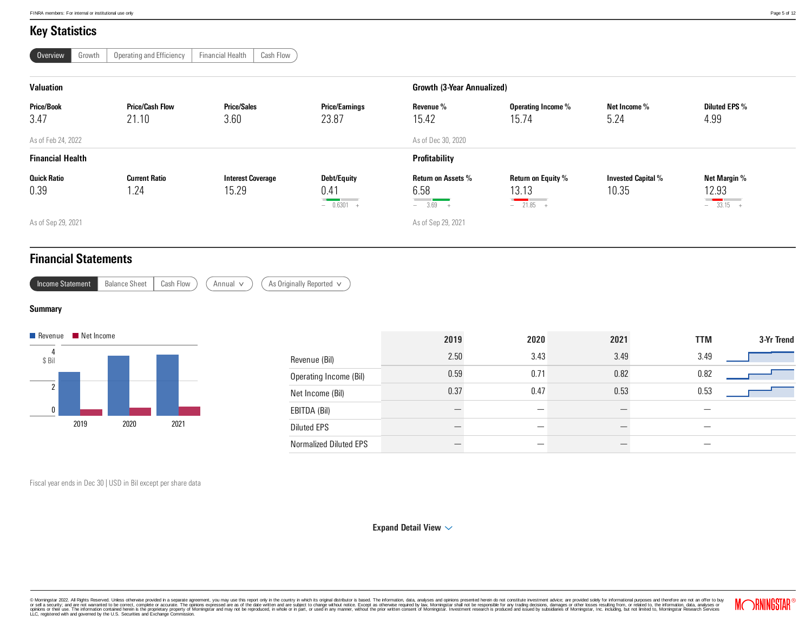### Key Statistics

| Overview | Growth | Operating and Efficiency | <b>Financial Health</b> | Cash Flow |
|----------|--------|--------------------------|-------------------------|-----------|
|----------|--------|--------------------------|-------------------------|-----------|

| <b>Valuation</b>           |                                 |                                   |                                                                                                                                                                                                                                                                             |                                         | <b>Growth (3-Year Annualized)</b>                                              |                                    |                                                                                                                                                               |  |  |  |
|----------------------------|---------------------------------|-----------------------------------|-----------------------------------------------------------------------------------------------------------------------------------------------------------------------------------------------------------------------------------------------------------------------------|-----------------------------------------|--------------------------------------------------------------------------------|------------------------------------|---------------------------------------------------------------------------------------------------------------------------------------------------------------|--|--|--|
| <b>Price/Book</b><br>3.47  | <b>Price/Cash Flow</b><br>21.10 | <b>Price/Sales</b><br>3.60        | <b>Price/Earnings</b><br>23.87                                                                                                                                                                                                                                              | Revenue %<br>15.42                      | Operating Income %<br>15.74                                                    | Net Income %<br>5.24               | <b>Diluted EPS %</b><br>4.99                                                                                                                                  |  |  |  |
| As of Feb 24, 2022         |                                 |                                   |                                                                                                                                                                                                                                                                             | As of Dec 30, 2020                      |                                                                                |                                    |                                                                                                                                                               |  |  |  |
| <b>Financial Health</b>    |                                 |                                   |                                                                                                                                                                                                                                                                             | Profitability                           |                                                                                |                                    |                                                                                                                                                               |  |  |  |
| <b>Quick Ratio</b><br>0.39 | <b>Current Ratio</b><br>. 24    | <b>Interest Coverage</b><br>15.29 | Debt/Equity<br>0.41<br><u> The Common Section of the Common Section of the Common Section of the Common Section of the Common Section of the Common Section of the Common Section of the Common Section of the Common Section of the Common Section of </u><br>$- 0.6301 +$ | Return on Assets %<br>6.58<br>$-3.69 +$ | <b>Return on Equity %</b><br>13.13<br><u>a a shekara ta 1989</u><br>$-21.85 +$ | <b>Invested Capital %</b><br>10.35 | Net Margin %<br>12.93<br><u> Constantinople de la provincia de la provincia de la provincia de la provincia de la provincia de la provincia</u><br>$-33.15 +$ |  |  |  |
| As of Sep 29, 2021         |                                 |                                   |                                                                                                                                                                                                                                                                             | As of Sep 29, 2021                      |                                                                                |                                    |                                                                                                                                                               |  |  |  |

As Originally Reported  $\vee$ 

### Financial Statements

| Income Statement | <b>Balance Sheet</b> | Cash Flow | Annual |
|------------------|----------------------|-----------|--------|

**Summary** 



|                               | 2019 | 2020 | 2021 | <b>TTM</b> | 3-Yr Trend |
|-------------------------------|------|------|------|------------|------------|
| Revenue (Bil)                 | 2.50 | 3.43 | 3.49 | 3.49       |            |
| Operating Income (Bil)        | 0.59 | 0.71 | 0.82 | 0.82       |            |
| Net Income (Bil)              | 0.37 | 0.47 | 0.53 | 0.53       |            |
| EBITDA (Bil)                  |      |      |      |            |            |
| <b>Diluted EPS</b>            |      |      |      |            |            |
| <b>Normalized Diluted EPS</b> |      |      |      |            |            |

Fiscal year ends in Dec 30 | USD in Bil except per share data

[Expand](javascript:void(0);) Detail View  $\sim$ 

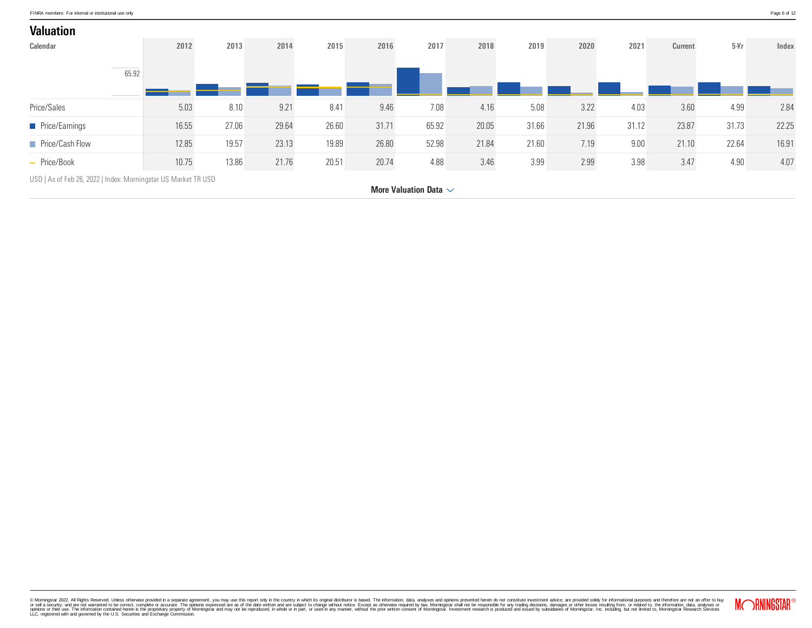| <b>Valuation</b>       |       |       |       |       |       |       |       |       |       |       |       |                |       |       |
|------------------------|-------|-------|-------|-------|-------|-------|-------|-------|-------|-------|-------|----------------|-------|-------|
| <b>Calendar</b>        |       | 2012  | 2013  | 2014  | 2015  | 2016  | 2017  | 2018  | 2019  | 2020  | 2021  | <b>Current</b> | 5Yr   | Index |
|                        | 65.92 |       |       |       |       |       |       |       |       |       |       |                |       |       |
| Price/Sales            |       | 5.03  | 8.10  | 9.21  | 8.41  | 9.46  | 7.08  | 4.16  | 5.08  | 3.22  | 4.03  | 3.60           | 4.99  | 2.84  |
| <b>Price/Earnings</b>  |       | 16.55 | 27.06 | 29.64 | 26.60 | 31.71 | 65.92 | 20.05 | 31.66 | 21.96 | 31.12 | 23.87          | 31.73 | 22.25 |
| <b>Price/Cash Flow</b> |       | 12.85 | 19.57 | 23.13 | 19.89 | 26.80 | 52.98 | 21.84 | 21.60 | 7.19  | 9.00  | 21.10          | 22.64 | 16.91 |
| - Price/Book           |       | 10.75 | 13.86 | 21.76 | 20.51 | 20.74 | 4.88  | 3.46  | 3.99  | 2.99  | 3.98  | 3.47           | 4.90  | 4.07  |

USD | As of Feb 26, 2022 | Index: Morningstar US Market TR USD

More [Valuation](javascript:void(0)) Data  $\sim$ 

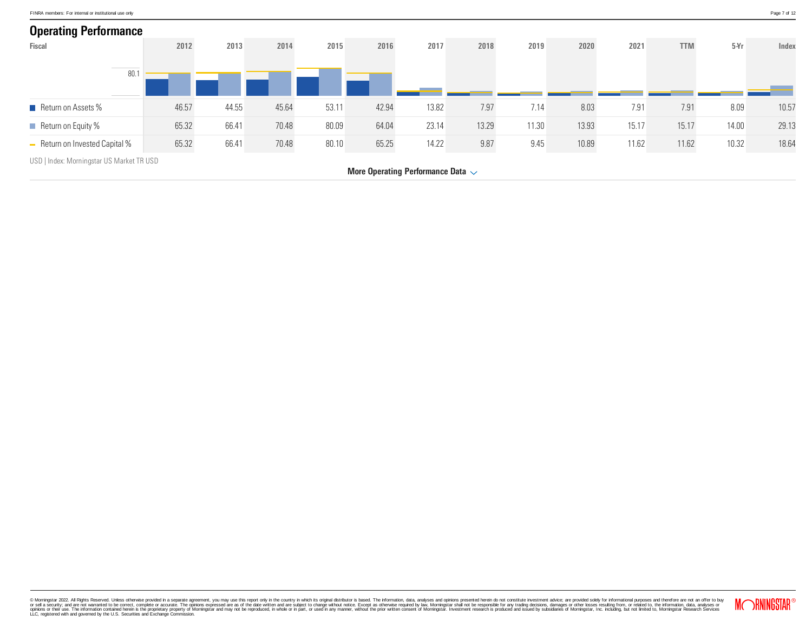

More Operating [Performance](javascript:void(0)) Data  $\sim$ 

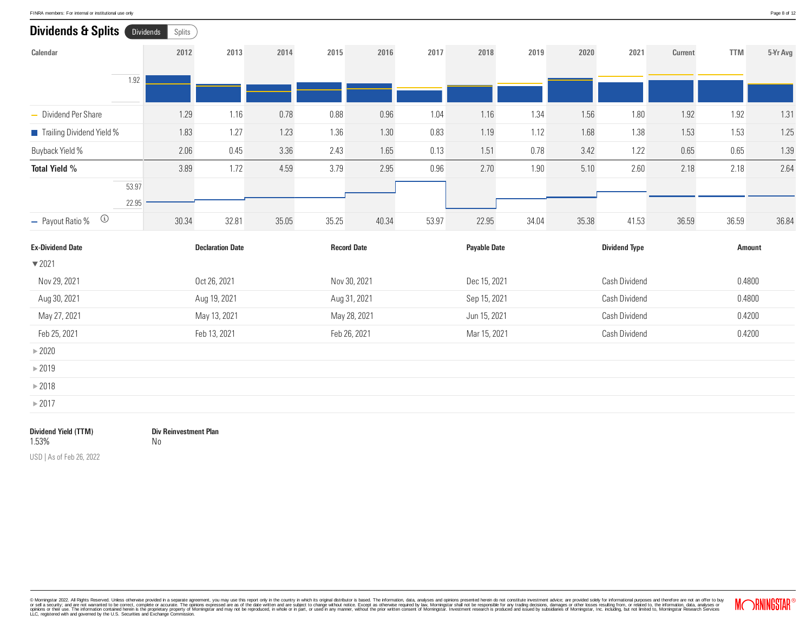| FINRA members: For internal or institutional use only | Page 8 of 12 |
|-------------------------------------------------------|--------------|
|                                                       |              |

| Dividends & Splits (<br>Dividends | Splits |                         |       |                    |       |       |                     |       |               |                      |                |               |          |
|-----------------------------------|--------|-------------------------|-------|--------------------|-------|-------|---------------------|-------|---------------|----------------------|----------------|---------------|----------|
| Calendar                          | 2012   | 2013                    | 2014  | 2015               | 2016  | 2017  | 2018                | 2019  | 2020          | 2021                 | <b>Current</b> | <b>TTM</b>    | 5-Yr Avg |
| 1.92                              |        |                         |       |                    |       |       |                     |       |               |                      |                |               |          |
| - Dividend Per Share              | 1.29   | 1.16                    | 0.78  | 0.88               | 0.96  | 1.04  | 1.16                | 1.34  | 1.56          | 1.80                 | 1.92           | 1.92          | 1.31     |
| Trailing Dividend Yield %         | 1.83   | 1.27                    | 1.23  | 1.36               | 1.30  | 0.83  | 1.19                | 1.12  | 1.68          | 1.38                 | 1.53           | 1.53          | 1.25     |
| <b>Buyback Yield %</b>            | 2.06   | 0.45                    | 3.36  | 2.43               | 1.65  | 0.13  | 1.51                | 0.78  | 3.42          | 1.22                 | 0.65           | 0.65          | 1.39     |
| <b>Total Yield %</b>              | 3.89   | 1.72                    | 4.59  | 3.79               | 2.95  | 0.96  | 2.70                | 1.90  | 5.10          | 2.60                 | 2.18           | 2.18          | 2.64     |
| 53.97<br>22.95                    |        |                         |       |                    |       |       |                     |       |               |                      |                |               |          |
| $\bigcirc$<br>- Payout Ratio %    | 30.34  | 32.81                   | 35.05 | 35.25              | 40.34 | 53.97 | 22.95               | 34.04 | 35.38         | 41.53                | 36.59          | 36.59         | 36.84    |
| <b>Ex-Dividend Date</b>           |        | <b>Declaration Date</b> |       | <b>Record Date</b> |       |       | <b>Payable Date</b> |       |               | <b>Dividend Type</b> |                | <b>Amount</b> |          |
| $\blacktriangledown$ 2021         |        |                         |       |                    |       |       |                     |       |               |                      |                |               |          |
| Nov 29, 2021                      |        | Oct 26, 2021            |       | Nov 30, 2021       |       |       | Dec 15, 2021        |       | Cash Dividend |                      |                | 0.4800        |          |
| Aug 30, 2021                      |        | Aug 19, 2021            |       | Aug 31, 2021       |       |       | Sep 15, 2021        |       |               | Cash Dividend        |                | 0.4800        |          |
| May 27, 2021                      |        | May 13, 2021            |       | May 28, 2021       |       |       | Jun 15, 2021        |       |               | Cash Dividend        |                | 0.4200        |          |
| Feb 25, 2021                      |        | Feb 13, 2021            |       | Feb 26, 2021       |       |       | Mar 15, 2021        |       |               | Cash Dividend        |                | 0.4200        |          |
| $\triangleright$ 2020             |        |                         |       |                    |       |       |                     |       |               |                      |                |               |          |
| $\blacktriangleright$ 2019        |        |                         |       |                    |       |       |                     |       |               |                      |                |               |          |
| $\blacktriangleright$ 2018        |        |                         |       |                    |       |       |                     |       |               |                      |                |               |          |
| $\triangleright$ 2017             |        |                         |       |                    |       |       |                     |       |               |                      |                |               |          |
|                                   |        |                         |       |                    |       |       |                     |       |               |                      |                |               |          |

Dividend Yield (TTM) 1.53%

Div Reinvestment Plan No

USD | As of Feb 26, 2022

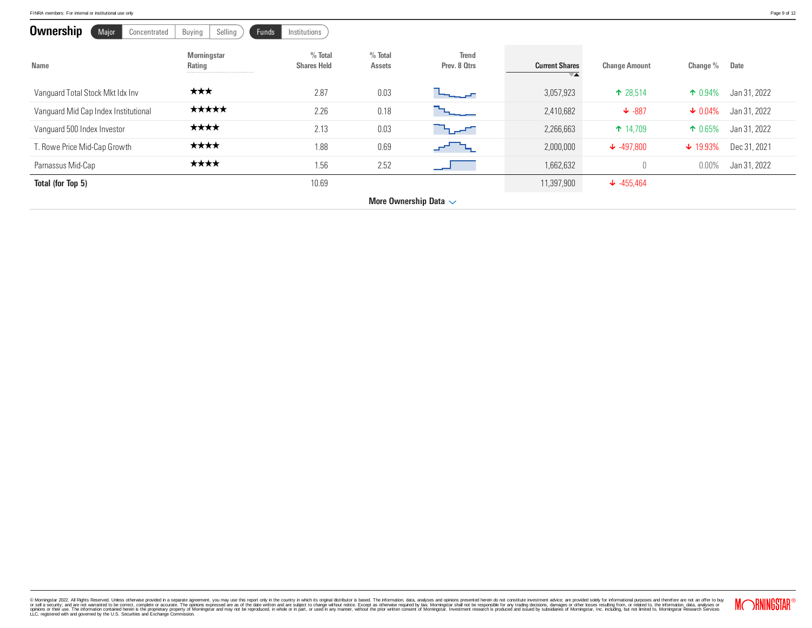| FINRA members: For internal or institutional use only | Page 9 of 12 |
|-------------------------------------------------------|--------------|
|-------------------------------------------------------|--------------|

| <b>Ownership</b><br>Major<br>Concentrated | Selling<br>Buying            | Funds<br>Institutions           |                            |                              |                       |                       |                         |              |
|-------------------------------------------|------------------------------|---------------------------------|----------------------------|------------------------------|-----------------------|-----------------------|-------------------------|--------------|
| <b>Name</b>                               | <b>Morningstar</b><br>Rating | $%$ Total<br><b>Shares Held</b> | $%$ Total<br><b>Assets</b> | <b>Trend</b><br>Prev. 8 Otrs | <b>Current Shares</b> | <b>Change Amount</b>  | Change %<br><b>Date</b> |              |
| Vanguard Total Stock Mkt Idx Inv          | ★★★                          | 2.87                            | 0.03                       | ومرجودها                     | 3,057,923             | $\uparrow$ 28,514     | $\uparrow$ 0.94%        | Jan 31, 2022 |
| Vanguard Mid Cap Index Institutional      | *****                        | 2.26                            | 0.18                       |                              | 2,410,682             | $\downarrow$ -887     | $\times 0.04\%$         | Jan 31, 2022 |
| Vanguard 500 Index Investor               | ****                         | 2.13                            | 0.03                       | <b>Charles</b>               | 2,266,663             | $\uparrow$ 14,709     | $\uparrow$ 0.65%        | Jan 31, 2022 |
| T. Rowe Price Mid-Cap Growth              | ****                         | 1.88                            | 0.69                       |                              | 2,000,000             | $\downarrow$ -497,800 | $\downarrow$ 19.93%     | Dec 31, 2021 |
| Parnassus Mid-Cap                         | ****                         | 1.56                            | 2.52                       |                              | 1,662,632             |                       | 0.00%                   | Jan 31, 2022 |
| Total (for Top 5)                         |                              | 10.69                           |                            |                              | 11,397,900            | $\downarrow$ -455,464 |                         |              |
|                                           |                              |                                 |                            | More Ownership Data $\sim$   |                       |                       |                         |              |

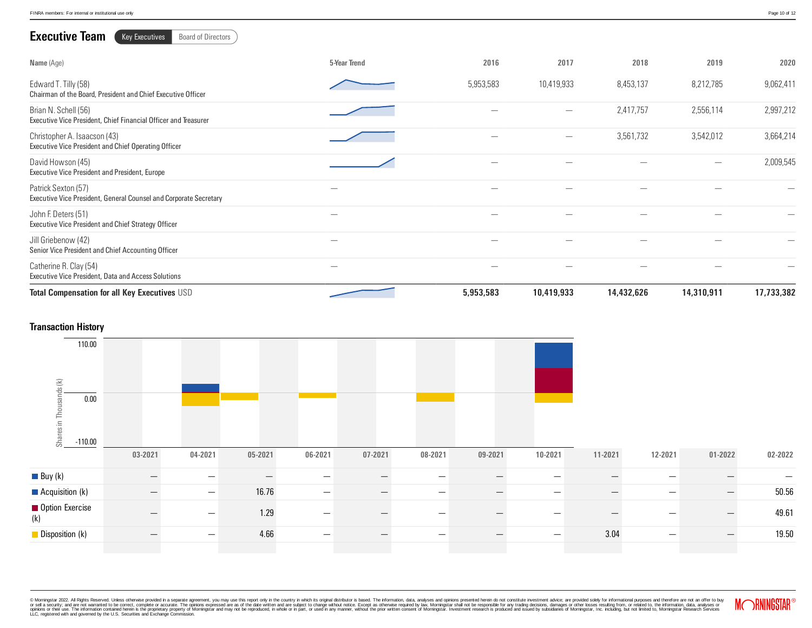| <b>Executive Team</b><br><b>Key Executives</b><br><b>Board of Directors</b>              |                          |           |                          |            |                                |            |
|------------------------------------------------------------------------------------------|--------------------------|-----------|--------------------------|------------|--------------------------------|------------|
| Name (Age)                                                                               | 5-Year Trend             | 2016      | 2017                     | 2018       | 2019                           | 2020       |
| Edward T. Tilly (58)<br>Chairman of the Board, President and Chief Executive Officer     |                          | 5,953,583 | 10,419,933               | 8,453,137  | 8,212,785                      | 9,062,411  |
| Brian N. Schell (56)<br>Executive Vice President, Chief Financial Officer and Treasurer  |                          |           | $\overline{\phantom{0}}$ | 2,417,757  | 2,556,114                      | 2,997,212  |
| Christopher A. Isaacson (43)<br>Executive Vice President and Chief Operating Officer     |                          |           |                          | 3,561,732  | 3,542,012                      | 3,664,214  |
| David Howson (45)<br>Executive Vice President and President, Europe                      |                          |           |                          |            | $\qquad \qquad \longleftarrow$ | 2,009,545  |
| Patrick Sexton (57)<br>Executive Vice President, General Counsel and Corporate Secretary |                          |           |                          |            |                                |            |
| John F. Deters (51)<br>Executive Vice President and Chief Strategy Officer               |                          |           |                          |            |                                |            |
| Jill Griebenow (42)<br>Senior Vice President and Chief Accounting Officer                | $\overline{\phantom{0}}$ |           |                          |            |                                |            |
| Catherine R. Clay (54)<br><b>Executive Vice President, Data and Access Solutions</b>     |                          |           |                          |            |                                |            |
| <b>Total Compensation for all Key Executives USD</b>                                     |                          | 5,953,583 | 10,419,933               | 14,432,626 | 14,310,911                     | 17,733,382 |

#### Transaction History



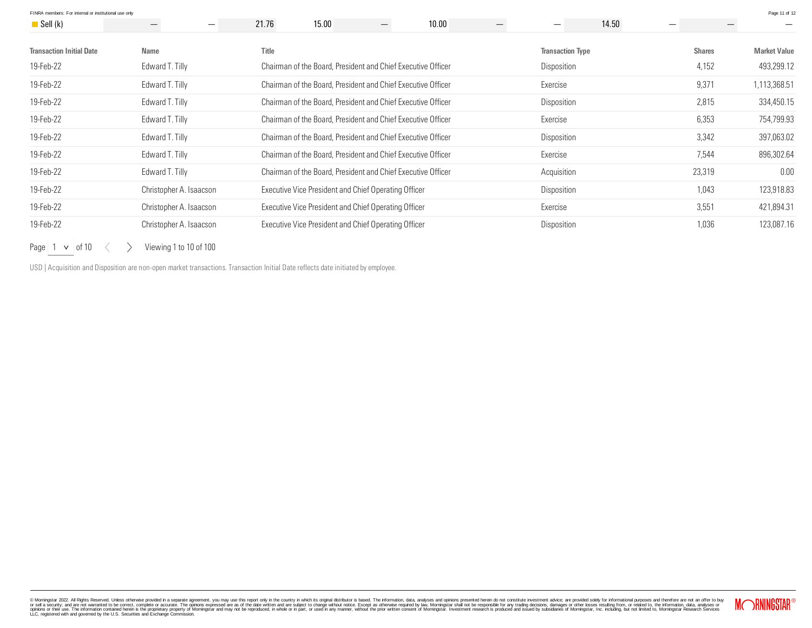| FINRA members: For internal or institutional use only |                         |              |                                                              |                 |       |  |                          |       |               | Page 11 of 12       |
|-------------------------------------------------------|-------------------------|--------------|--------------------------------------------------------------|-----------------|-------|--|--------------------------|-------|---------------|---------------------|
| $\blacksquare$ Sell (k)                               | —<br>—                  | 21.76        | 15.00                                                        | $\qquad \qquad$ | 10.00 |  | $\overline{\phantom{0}}$ | 14.50 |               |                     |
| <b>Transaction Initial Date</b>                       | <b>Name</b>             | <b>Title</b> |                                                              |                 |       |  | <b>Transaction Type</b>  |       | <b>Shares</b> | <b>Market Value</b> |
| 19-Feb-22                                             | Edward T. Tilly         |              | Chairman of the Board, President and Chief Executive Officer |                 |       |  | Disposition              |       | 4,152         | 493,299.12          |
| 19-Feb-22                                             | Edward T. Tilly         |              | Chairman of the Board, President and Chief Executive Officer |                 |       |  | Exercise                 |       | 9,371         | 1,113,368.51        |
| 19-Feb-22                                             | Edward T. Tilly         |              | Chairman of the Board, President and Chief Executive Officer |                 |       |  | Disposition              |       | 2,815         | 334,450.15          |
| 19-Feb-22                                             | Edward T. Tilly         |              | Chairman of the Board, President and Chief Executive Officer |                 |       |  | Exercise                 |       | 6,353         | 754,799.93          |
| 19-Feb-22                                             | Edward T. Tilly         |              | Chairman of the Board, President and Chief Executive Officer |                 |       |  | Disposition              |       | 3,342         | 397,063.02          |
| 19-Feb-22                                             | Edward T. Tilly         |              | Chairman of the Board, President and Chief Executive Officer |                 |       |  | Exercise                 |       | 7,544         | 896,302.64          |
| 19-Feb-22                                             | Edward T. Tilly         |              | Chairman of the Board, President and Chief Executive Officer |                 |       |  | Acquisition              |       | 23,319        | 0.00                |
| 19-Feb-22                                             | Christopher A. Isaacson |              | Executive Vice President and Chief Operating Officer         |                 |       |  | Disposition              |       | 1,043         | 123,918.83          |
| 19-Feb-22                                             | Christopher A. Isaacson |              | Executive Vice President and Chief Operating Officer         |                 |       |  | Exercise                 |       | 3,551         | 421,894.31          |
| 19-Feb-22                                             | Christopher A. Isaacson |              | Executive Vice President and Chief Operating Officer         |                 |       |  | Disposition              |       | 1,036         | 123,087.16          |

Page  $\vert$  1  $\vert$   $\vert$  of 10  $\vert$   $\langle$   $\rangle$  Viewing 1 to 10 of 100

USD | Acquisition and Disposition are non-open market transactions. Transaction Initial Date reflects date initiated by employee.